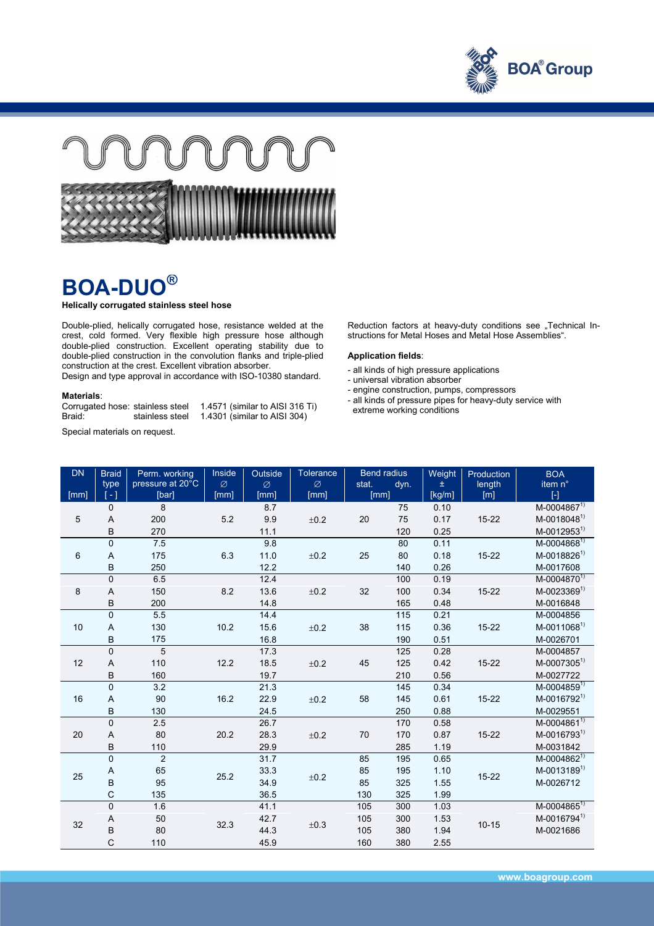



## **BOA-DUO®**

## **Helically corrugated stainless steel hose**

Double-plied, helically corrugated hose, resistance welded at the crest, cold formed. Very flexible high pressure hose although double-plied construction. Excellent operating stability due to double-plied construction in the convolution flanks and triple-plied construction at the crest. Excellent vibration absorber.

Design and type approval in accordance with ISO-10380 standard.

## **Materials**:

| Corrugated hose: stainless steel |                 | 1.4571 (similar to AISI 316 Ti) |
|----------------------------------|-----------------|---------------------------------|
| Braid:                           | stainless steel | 1.4301 (similar to AISI 304)    |

Reduction factors at heavy-duty conditions see "Technical Instructions for Metal Hoses and Metal Hose Assemblies".

## **Application fields**:

- all kinds of high pressure applications
- universal vibration absorber
- engine construction, pumps, compressors
- all kinds of pressure pipes for heavy-duty service with
- extreme working conditions

Special materials on request.

| <b>DN</b> | <b>Braid</b>        | Perm. working    | Inside | Outside | <b>Tolerance</b> | <b>Bend radius</b> |      | Weight | Production              | <b>BOA</b>                                                                                                                                                                                                                                                                                                                                                                                                                                                                                                                                                                                                                                                                                                                                                                                                       |
|-----------|---------------------|------------------|--------|---------|------------------|--------------------|------|--------|-------------------------|------------------------------------------------------------------------------------------------------------------------------------------------------------------------------------------------------------------------------------------------------------------------------------------------------------------------------------------------------------------------------------------------------------------------------------------------------------------------------------------------------------------------------------------------------------------------------------------------------------------------------------------------------------------------------------------------------------------------------------------------------------------------------------------------------------------|
|           | type                | pressure at 20°C | Ø      | Ø       | Ø                | stat.<br>dyn.      |      | 土      | length                  | item n°                                                                                                                                                                                                                                                                                                                                                                                                                                                                                                                                                                                                                                                                                                                                                                                                          |
| [mm]      | $\lbrack - \rbrack$ | [bar]            | [mm]   | [mm]    | [mm]             | [mm]               |      | [kg/m] | [m]                     | $[\cdot] % \centering \includegraphics[width=0.9\textwidth]{images/TrDiS/NR-Architecture.png} % \caption{The first two different values of $N$ in the left (upper) and the second (lower) and the third (lower) and the third (lower) and the third (lower) and the third (lower) and the third (lower) and the third (lower) and the third (lower) and the third (lower) and the third (lower) and the third (lower) and the third (lower) and the third (lower) and the third (lower) and the third (lower) and the third (lower) and the third (lower) and the third (lower) and the third (lower) and the third (lower) and the third (lower) and the third (lower) and the third (lower) and the third (lower) and the third (lower) and the third (lower) and the third (lower) and the third (lower) and$ |
| 5         | $\mathbf{0}$        | 8                |        | 8.7     | ±0.2             |                    | 75   | 0.10   | $15 - 22$               | $M-0004867^{1}$                                                                                                                                                                                                                                                                                                                                                                                                                                                                                                                                                                                                                                                                                                                                                                                                  |
|           | A                   | 200              | 5.2    | 9.9     |                  | 20<br>75<br>120    |      | 0.17   |                         | M-0018048 <sup>1)</sup>                                                                                                                                                                                                                                                                                                                                                                                                                                                                                                                                                                                                                                                                                                                                                                                          |
|           | B                   | 270              |        | 11.1    |                  |                    | 0.25 |        | M-0012953 <sup>1)</sup> |                                                                                                                                                                                                                                                                                                                                                                                                                                                                                                                                                                                                                                                                                                                                                                                                                  |
| 6         | $\overline{0}$      | 7.5              | 6.3    | 9.8     | $\pm 0.2$        | 25                 | 80   | 0.11   | 15-22                   | $M-0004868^{1}$                                                                                                                                                                                                                                                                                                                                                                                                                                                                                                                                                                                                                                                                                                                                                                                                  |
|           | A                   | 175              |        | 11.0    |                  |                    | 80   | 0.18   |                         | M-0018826 <sup>1)</sup>                                                                                                                                                                                                                                                                                                                                                                                                                                                                                                                                                                                                                                                                                                                                                                                          |
|           | B                   | 250              |        | 12.2    |                  |                    | 140  | 0.26   |                         | M-0017608                                                                                                                                                                                                                                                                                                                                                                                                                                                                                                                                                                                                                                                                                                                                                                                                        |
| 8         | $\overline{0}$      | 6.5              |        | 12.4    | ±0.2             | 32                 | 100  | 0.19   | $15 - 22$               | M-0004870 <sup>1)</sup>                                                                                                                                                                                                                                                                                                                                                                                                                                                                                                                                                                                                                                                                                                                                                                                          |
|           | A                   | 150              | 8.2    | 13.6    |                  |                    | 100  | 0.34   |                         | M-0023369 <sup>1)</sup>                                                                                                                                                                                                                                                                                                                                                                                                                                                                                                                                                                                                                                                                                                                                                                                          |
|           | B                   | 200              |        | 14.8    |                  |                    | 165  | 0.48   |                         | M-0016848                                                                                                                                                                                                                                                                                                                                                                                                                                                                                                                                                                                                                                                                                                                                                                                                        |
| 10        | $\overline{0}$      | 5.5              |        | 14.4    |                  | 38                 | 115  | 0.21   | 15-22                   | M-0004856                                                                                                                                                                                                                                                                                                                                                                                                                                                                                                                                                                                                                                                                                                                                                                                                        |
|           | A                   | 130              | 10.2   | 15.6    | $\pm 0.2$        |                    | 115  | 0.36   |                         | $M-0011068^{1}$                                                                                                                                                                                                                                                                                                                                                                                                                                                                                                                                                                                                                                                                                                                                                                                                  |
|           | B                   | 175              |        | 16.8    |                  |                    | 190  | 0.51   |                         | M-0026701                                                                                                                                                                                                                                                                                                                                                                                                                                                                                                                                                                                                                                                                                                                                                                                                        |
|           | $\overline{0}$      | 5                | 12.2   | 17.3    | $\pm 0.2$        | 45                 | 125  | 0.28   | $15 - 22$               | M-0004857                                                                                                                                                                                                                                                                                                                                                                                                                                                                                                                                                                                                                                                                                                                                                                                                        |
| 12        | A                   | 110              |        | 18.5    |                  |                    | 125  | 0.42   |                         | $M-0007305^{1}$                                                                                                                                                                                                                                                                                                                                                                                                                                                                                                                                                                                                                                                                                                                                                                                                  |
|           | B                   | 160              |        | 19.7    |                  |                    | 210  | 0.56   |                         | M-0027722                                                                                                                                                                                                                                                                                                                                                                                                                                                                                                                                                                                                                                                                                                                                                                                                        |
| 16        | $\overline{0}$      | 3.2              | 16.2   | 21.3    | $\pm 0.2$        | 58                 | 145  | 0.34   | $15 - 22$               | M-0004859 <sup>1)</sup>                                                                                                                                                                                                                                                                                                                                                                                                                                                                                                                                                                                                                                                                                                                                                                                          |
|           | A                   | 90               |        | 22.9    |                  |                    | 145  | 0.61   |                         | M-0016792 <sup>1)</sup>                                                                                                                                                                                                                                                                                                                                                                                                                                                                                                                                                                                                                                                                                                                                                                                          |
|           | B                   | 130              |        | 24.5    |                  |                    | 250  | 0.88   |                         | M-0029551                                                                                                                                                                                                                                                                                                                                                                                                                                                                                                                                                                                                                                                                                                                                                                                                        |
|           | $\mathbf 0$         | 2.5              | 20.2   | 26.7    | ±0.2             | 70                 | 170  | 0.58   | $15 - 22$               | $M-0004861^{1}$                                                                                                                                                                                                                                                                                                                                                                                                                                                                                                                                                                                                                                                                                                                                                                                                  |
| 20        | A                   | 80               |        | 28.3    |                  |                    | 170  | 0.87   |                         | M-0016793 <sup>1)</sup>                                                                                                                                                                                                                                                                                                                                                                                                                                                                                                                                                                                                                                                                                                                                                                                          |
|           | B                   | 110              |        | 29.9    |                  |                    | 285  | 1.19   |                         | M-0031842                                                                                                                                                                                                                                                                                                                                                                                                                                                                                                                                                                                                                                                                                                                                                                                                        |
|           | $\overline{0}$      | $\overline{2}$   | 25.2   | 31.7    | ±0.2             | 85                 | 195  | 0.65   | 15-22                   | $M-0004862^{1}$                                                                                                                                                                                                                                                                                                                                                                                                                                                                                                                                                                                                                                                                                                                                                                                                  |
| 25        | A                   | 65               |        | 33.3    |                  | 85                 | 195  | 1.10   |                         | $M-0013189^{1}$                                                                                                                                                                                                                                                                                                                                                                                                                                                                                                                                                                                                                                                                                                                                                                                                  |
|           | B                   | 95               |        | 34.9    |                  | 85                 | 325  | 1.55   |                         | M-0026712                                                                                                                                                                                                                                                                                                                                                                                                                                                                                                                                                                                                                                                                                                                                                                                                        |
|           | C                   | 135              |        | 36.5    |                  | 130                | 325  | 1.99   |                         |                                                                                                                                                                                                                                                                                                                                                                                                                                                                                                                                                                                                                                                                                                                                                                                                                  |
| 32        | $\mathbf 0$         | 1.6              | 32.3   | 41.1    | $\pm 0.3$        | 105                | 300  | 1.03   |                         | M-0004865 <sup>1)</sup>                                                                                                                                                                                                                                                                                                                                                                                                                                                                                                                                                                                                                                                                                                                                                                                          |
|           | A                   | 50               |        | 42.7    |                  | 105                | 300  | 1.53   |                         | M-0016794 <sup>1)</sup>                                                                                                                                                                                                                                                                                                                                                                                                                                                                                                                                                                                                                                                                                                                                                                                          |
|           | B                   | 80               |        | 44.3    |                  | 105                | 380  | 1.94   | $10 - 15$               | M-0021686                                                                                                                                                                                                                                                                                                                                                                                                                                                                                                                                                                                                                                                                                                                                                                                                        |
|           | C                   | 110              |        | 45.9    |                  | 160                | 380  | 2.55   |                         |                                                                                                                                                                                                                                                                                                                                                                                                                                                                                                                                                                                                                                                                                                                                                                                                                  |